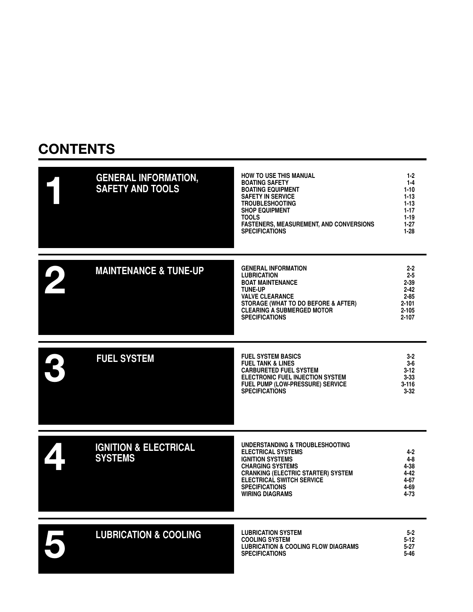### **CONTENTS**

| <b>GENERAL INFORMATION,</b><br><b>SAFETY AND TOOLS</b> | <b>HOW TO USE THIS MANUAL</b><br><b>BOATING SAFETY</b><br><b>BOATING EQUIPMENT</b><br><b>SAFETY IN SERVICE</b><br><b>TROUBLESHOOTING</b><br><b>SHOP EQUIPMENT</b><br><b>TOOLS</b><br><b>FASTENERS, MEASUREMENT, AND CONVERSIONS</b><br><b>SPECIFICATIONS</b> | $1-2$<br>$1 - 4$<br>$1 - 10$<br>$1 - 13$<br>$1 - 13$<br>$1 - 17$<br>$1 - 19$<br>$1 - 27$<br>$1-28$ |
|--------------------------------------------------------|--------------------------------------------------------------------------------------------------------------------------------------------------------------------------------------------------------------------------------------------------------------|----------------------------------------------------------------------------------------------------|
| <b>MAINTENANCE &amp; TUNE-UP</b>                       | <b>GENERAL INFORMATION</b><br><b>LUBRICATION</b><br><b>BOAT MAINTENANCE</b><br><b>TUNE-UP</b><br><b>VALVE CLEARANCE</b><br><b>STORAGE (WHAT TO DO BEFORE &amp; AFTER)</b><br><b>CLEARING A SUBMERGED MOTOR</b><br><b>SPECIFICATIONS</b>                      | $2 - 2$<br>$2 - 5$<br>$2 - 39$<br>$2 - 42$<br>$2 - 85$<br>$2 - 101$<br>$2 - 105$<br>2-107          |
| <b>FUEL SYSTEM</b>                                     | <b>FUEL SYSTEM BASICS</b><br><b>FUEL TANK &amp; LINES</b><br><b>CARBURETED FUEL SYSTEM</b><br><b>ELECTRONIC FUEL INJECTION SYSTEM</b><br>FUEL PUMP (LOW-PRESSURE) SERVICE<br><b>SPECIFICATIONS</b>                                                           | $3 - 2$<br>$3-6$<br>$3 - 12$<br>$3 - 33$<br>$3 - 116$<br>$3 - 32$                                  |
| <b>IGNITION &amp; ELECTRICAL</b><br><b>SYSTEMS</b>     | UNDERSTANDING & TROUBLESHOOTING<br><b>ELECTRICAL SYSTEMS</b><br><b>IGNITION SYSTEMS</b><br><b>CHARGING SYSTEMS</b><br><b>CRANKING (ELECTRIC STARTER) SYSTEM</b><br><b>ELECTRICAL SWITCH SERVICE</b><br><b>SPECIFICATIONS</b><br><b>WIRING DIAGRAMS</b>       | $4 - 2$<br>$4 - 8$<br>4-38<br>$4 - 42$<br>4-67<br>4-69<br>4-73                                     |
| <b>LUBRICATION &amp; COOLING</b>                       | <b>LUBRICATION SYSTEM</b><br><b>COOLING SYSTEM</b><br><b>LUBRICATION &amp; COOLING FLOW DIAGRAMS</b><br><b>SPECIFICATIONS</b>                                                                                                                                | $5 - 2$<br>$5 - 12$<br>$5 - 27$<br>5-46                                                            |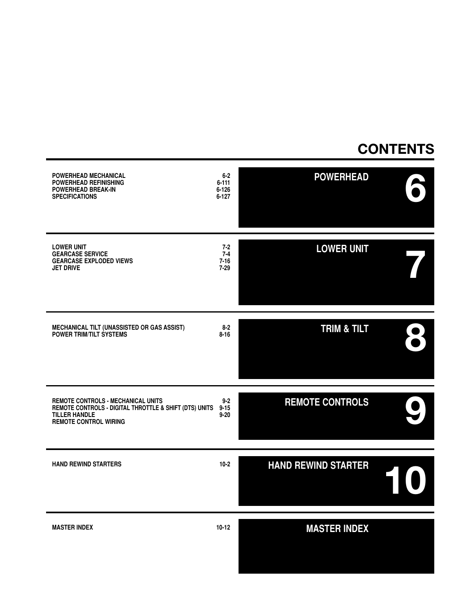#### **CONTENTS**

| POWERHEAD MECHANICAL<br>POWERHEAD REFINISHING<br><b>POWERHEAD BREAK-IN</b><br><b>SPECIFICATIONS</b>                                                       | $6 - 2$<br>$6 - 111$<br>$6 - 126$<br>$6 - 127$ | <b>POWERHEAD</b>           |  |
|-----------------------------------------------------------------------------------------------------------------------------------------------------------|------------------------------------------------|----------------------------|--|
| <b>LOWER UNIT</b><br><b>GEARCASE SERVICE</b><br><b>GEARCASE EXPLODED VIEWS</b><br><b>JET DRIVE</b>                                                        | $7 - 2$<br>$7 - 4$<br>$7 - 16$<br>$7 - 29$     | <b>LOWER UNIT</b>          |  |
| MECHANICAL TILT (UNASSISTED OR GAS ASSIST)<br>POWER TRIM/TILT SYSTEMS                                                                                     | $8 - 2$<br>$8 - 16$                            | <b>TRIM &amp; TILT</b>     |  |
| REMOTE CONTROLS - MECHANICAL UNITS<br>REMOTE CONTROLS - DIGITAL THROTTLE & SHIFT (DTS) UNITS 9-15<br><b>TILLER HANDLE</b><br><b>REMOTE CONTROL WIRING</b> | $9 - 2$<br>$9 - 20$                            | <b>REMOTE CONTROLS</b>     |  |
| <b>HAND REWIND STARTERS</b>                                                                                                                               | $10-2$                                         | <b>HAND REWIND STARTER</b> |  |
| <b>MASTER INDEX</b>                                                                                                                                       | $10 - 12$                                      | <b>MASTER INDEX</b>        |  |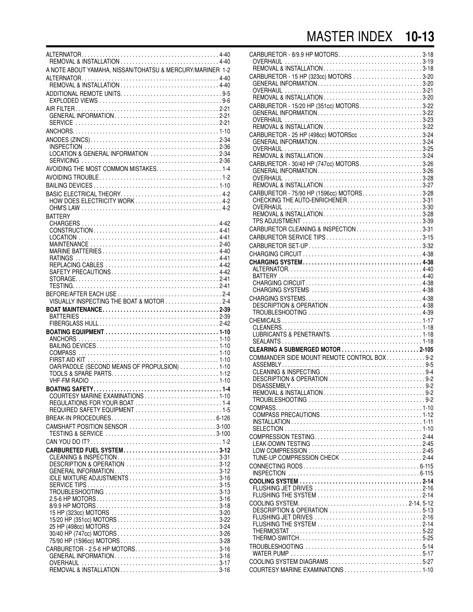| A NOTE ABOUT YAMAHA, NISSAN/TOHATSU & MERCURY/MARINER 1-2 |
|-----------------------------------------------------------|
|                                                           |
|                                                           |
|                                                           |
|                                                           |
|                                                           |
|                                                           |
|                                                           |
|                                                           |
|                                                           |
|                                                           |
| HOW DOES ELECTRICITY WORK  4-2                            |
|                                                           |
| <b>BATTERY</b>                                            |
|                                                           |
|                                                           |
|                                                           |
|                                                           |
|                                                           |
|                                                           |
|                                                           |
| VISUALLY INSPECTING THE BOAT & MOTOR 2-4                  |
|                                                           |
|                                                           |
|                                                           |
|                                                           |
|                                                           |
| OAR/PADDLE (SECOND MEANS OF PROPULSION) 1-10              |
|                                                           |
|                                                           |
|                                                           |
| REGULATIONS FOR YOUR BOAT  1-4                            |
|                                                           |
| CAMSHAFT POSITION SENSOR 3-100                            |
|                                                           |
|                                                           |
| CARBURETED FUEL SYSTEM3-12                                |
| DESCRIPTION & OPERATION 3-12                              |
|                                                           |
|                                                           |
|                                                           |
|                                                           |
|                                                           |
|                                                           |
|                                                           |
| CARBURETOR - 2.5-6 HP MOTORS3-16                          |
|                                                           |
|                                                           |

| CARBURETOR - 8/9.9 HP MOTORS3-18           |  |
|--------------------------------------------|--|
|                                            |  |
|                                            |  |
|                                            |  |
|                                            |  |
| CARBURETOR - 15/20 HP (351cc) MOTORS3-22   |  |
|                                            |  |
|                                            |  |
| CARBURETOR - 25 HP (498cc) MOTORScc 3-24   |  |
|                                            |  |
|                                            |  |
| CARBURETOR - 30/40 HP (747cc) MOTORS3-26   |  |
|                                            |  |
|                                            |  |
|                                            |  |
|                                            |  |
|                                            |  |
|                                            |  |
|                                            |  |
|                                            |  |
|                                            |  |
|                                            |  |
|                                            |  |
|                                            |  |
|                                            |  |
|                                            |  |
|                                            |  |
|                                            |  |
|                                            |  |
| CLEARING A SUBMERGED MOTOR 2-105           |  |
| COMMANDER SIDE MOUNT REMOTE CONTROL BOX9-2 |  |
|                                            |  |
|                                            |  |
|                                            |  |
|                                            |  |
|                                            |  |
|                                            |  |
|                                            |  |
|                                            |  |
|                                            |  |
| TUNE-UP COMPRESSION CHECK 2-44             |  |
|                                            |  |
|                                            |  |
|                                            |  |
|                                            |  |
|                                            |  |
|                                            |  |
|                                            |  |
|                                            |  |
|                                            |  |
| COOLING SYSTEM DIAGRAMS 5-27               |  |
|                                            |  |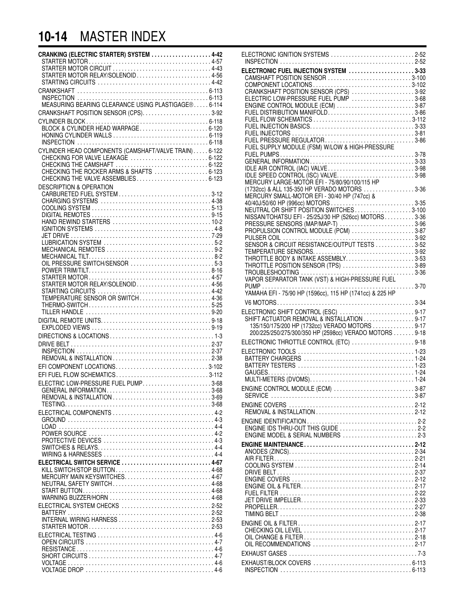### **10-14** MASTER INDEX

| CRANKING (ELECTRIC STARTER) SYSTEM 4-42                           |  |
|-------------------------------------------------------------------|--|
|                                                                   |  |
|                                                                   |  |
| STARTER MOTOR RELAY/SOLENOID4-56                                  |  |
|                                                                   |  |
|                                                                   |  |
|                                                                   |  |
| MEASURING BEARING CLEARANCE USING PLASTIGAGE®6-114                |  |
| CRANKSHAFT POSITION SENSOR (CPS)3-92                              |  |
|                                                                   |  |
|                                                                   |  |
|                                                                   |  |
|                                                                   |  |
|                                                                   |  |
| CYLINDER HEAD COMPONENTS (CAMSHAFT/VALVE TRAIN)6-122              |  |
|                                                                   |  |
| CHECKING THE CAMSHAFT<br>CHECKING THE ROCKER ARMS & SHAFTS  6-123 |  |
|                                                                   |  |
| CHECKING THE VALVE ASSEMBLIES 6-123                               |  |
| <b>DESCRIPTION &amp; OPERATION</b>                                |  |
| CARBURETED FUEL SYSTEM3-12                                        |  |
|                                                                   |  |
|                                                                   |  |
|                                                                   |  |
|                                                                   |  |
|                                                                   |  |
|                                                                   |  |
|                                                                   |  |
|                                                                   |  |
| OIL PRESSURE SWITCH/SENSOR 5-3                                    |  |
|                                                                   |  |
|                                                                   |  |
| STARTER MOTOR RELAY/SOLENOID4-56                                  |  |
|                                                                   |  |
| TEMPERATURE SENSOR OR SWITCH4-36                                  |  |
|                                                                   |  |
|                                                                   |  |
|                                                                   |  |
|                                                                   |  |
|                                                                   |  |
|                                                                   |  |
|                                                                   |  |
|                                                                   |  |
| EFICOMPONENT LOCATIONS3-102                                       |  |
|                                                                   |  |
| EFI FUEL FLOW SCHEMATICS3-112                                     |  |
| ELECTRIC LOW-PRESSURE FUEL PUMP3-68                               |  |
|                                                                   |  |
|                                                                   |  |
|                                                                   |  |
| ELECTRICAL COMPONENTS 4-2                                         |  |
|                                                                   |  |
|                                                                   |  |
|                                                                   |  |
|                                                                   |  |
|                                                                   |  |
|                                                                   |  |
| ELECTRICAL SWITCH SERVICE 4-67                                    |  |
|                                                                   |  |
| MERCURY MAIN KEYSWITCHES.  4-67                                   |  |
| NEUTRAL SAFETY SWITCH4-68                                         |  |
|                                                                   |  |
|                                                                   |  |
| ELECTRICAL SYSTEM CHECKS 2-52                                     |  |
|                                                                   |  |
|                                                                   |  |
|                                                                   |  |
|                                                                   |  |
|                                                                   |  |
|                                                                   |  |
|                                                                   |  |
|                                                                   |  |
|                                                                   |  |

| ELECTRONIC IGNITION SYSTEMS 2-52                                                                                                                                                                                                                                                                                                                                                                    |  |
|-----------------------------------------------------------------------------------------------------------------------------------------------------------------------------------------------------------------------------------------------------------------------------------------------------------------------------------------------------------------------------------------------------|--|
| ELECTRONIC FUEL INJECTION SYSTEM 3-33<br>CAMSHAFT POSITION SENSOR 3-100<br>CRANKSHAFT POSITION SENSOR (CPS) 3-92<br>ELECTRIC LOW-PRESSURE FUEL PUMP 3-68<br>ENGINE CONTROL MODULE (ECM) 3-87<br>FUEL DISTRIBUTION MANIFOLD3-86<br>FUEL PRESSURE REGULATOR3-86<br>FUEL SUPPLY MODULE (FSM) W/LOW & HIGH-PRESSURE                                                                                     |  |
| GENERAL INFORMATION3-33<br>IDLE AIR CONTROL (IAC) VALVE3-98<br>MERCURY LARGE-MOTOR EFI - 75/80/90/100/115 HP<br>with contract in the motion of the color of the theory in the fire of the contract of the contract of the contract of the contract of the contract of the contract of the contract of the contract of the contract of the con                                                       |  |
| MERCURY SMALL-MOTOR EFI - 30/40 HP (747cc) &<br>NEUTRAL OR SHIFT POSITION SWITCHES3-100<br>NISSAN/TOHATSU EFI - 25/25J/30 HP (526cc) MOTORS. 3-36<br>PRESSURE SENSORS (MAP/MAP-T) 3-96<br>PROPULSION CONTROL MODULE (PCM) 3-87<br>TEMPERATURE SENSORS3-92<br>THROTTLE BODY & INTAKE ASSEMBLY3-53<br>THROTTLE POSITION SENSOR (TPS) 3-89<br>YAMAHA EFI - 75/90 HP (1596cc), 115 HP (1741cc) & 225 HP |  |
| ELECTRONIC SHIFT CONTROL (ESC) 9-17                                                                                                                                                                                                                                                                                                                                                                 |  |
| SHIFT ACTUATOR REMOVAL & INSTALLATION 9-17<br>135/150/175/200 HP (1732cc) VERADO MOTORS 9-17<br>200/225/250/275/300/350 HP (2598cc) VERADO MOTORS 9-18                                                                                                                                                                                                                                              |  |
| ELECTRONIC THROTTLE CONTROL (ETC) 9-18                                                                                                                                                                                                                                                                                                                                                              |  |
| ENGINE CONTROL MODULE (ECM) 3-87                                                                                                                                                                                                                                                                                                                                                                    |  |
| ENGINE IDS THRU-OUT THIS GUIDE  2-2<br>ENGINE MODEL & SERIAL NUMBERS 2-3                                                                                                                                                                                                                                                                                                                            |  |
|                                                                                                                                                                                                                                                                                                                                                                                                     |  |
| OIL RECOMMENDATIONS 2-17                                                                                                                                                                                                                                                                                                                                                                            |  |
|                                                                                                                                                                                                                                                                                                                                                                                                     |  |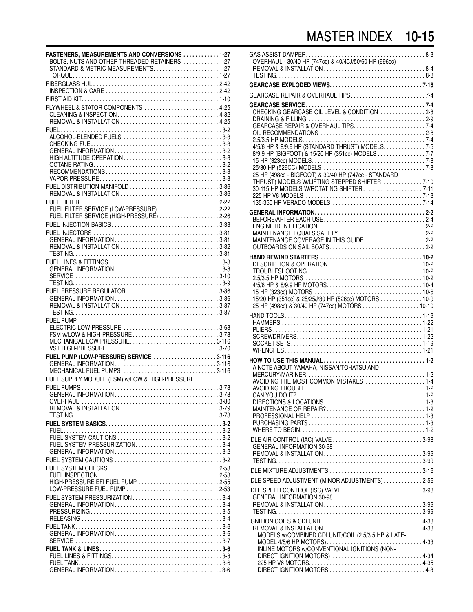| FASTENERS, MEASUREMENTS AND CONVERSIONS  1-27<br>BOLTS, NUTS AND OTHER THREADED RETAINERS  1-27 |
|-------------------------------------------------------------------------------------------------|
| STANDARD & METRIC MEASUREMENTS1-27                                                              |
|                                                                                                 |
|                                                                                                 |
| FLYWHEEL & STATOR COMPONENTS  4-25                                                              |
|                                                                                                 |
|                                                                                                 |
|                                                                                                 |
|                                                                                                 |
| GENERAL INFORMATION3-2                                                                          |
|                                                                                                 |
|                                                                                                 |
|                                                                                                 |
| FUEL DISTRIBUTION MANIFOLD 3-86                                                                 |
|                                                                                                 |
| FUEL FILTER SERVICE (LOW-PRESSURE) 2-22                                                         |
| FUEL FILTER SERVICE (HIGH-PRESSURE) 2-26                                                        |
|                                                                                                 |
|                                                                                                 |
|                                                                                                 |
|                                                                                                 |
|                                                                                                 |
| GENERAL INFORMATION3-8                                                                          |
|                                                                                                 |
| FUEL PRESSURE REGULATOR 3-86                                                                    |
| GENERAL INFORMATION3-86                                                                         |
|                                                                                                 |
|                                                                                                 |
| <b>FUEL PUMP</b>                                                                                |
| FSM w/LOW & HIGH-PRESSURE3-78                                                                   |
| MECHANICAL LOW PRESSURE3-116                                                                    |
| FUEL PUMP (LOW-PRESSURE) SERVICE 3-116                                                          |
|                                                                                                 |
| MECHANICAL FUEL PUMPS3-116                                                                      |
| FUEL SUPPLY MODULE (FSM) w/LOW & HIGH-PRESSURE                                                  |
|                                                                                                 |
|                                                                                                 |
|                                                                                                 |
|                                                                                                 |
|                                                                                                 |
|                                                                                                 |
|                                                                                                 |
|                                                                                                 |
|                                                                                                 |
|                                                                                                 |
| HIGH-PRESSURE EFI FUEL PUMP 2-55                                                                |
|                                                                                                 |
| FUEL SYSTEM PRESSURIZATION3-4                                                                   |
|                                                                                                 |
|                                                                                                 |
|                                                                                                 |
|                                                                                                 |
|                                                                                                 |
|                                                                                                 |
|                                                                                                 |

| OVERHAUL - 30/40 HP (747cc) & 40/40J/50/60 HP (996cc)                                                 |  |
|-------------------------------------------------------------------------------------------------------|--|
|                                                                                                       |  |
| GEARCASE REPAIR & OVERHAUL TIPS7-4                                                                    |  |
|                                                                                                       |  |
|                                                                                                       |  |
|                                                                                                       |  |
|                                                                                                       |  |
|                                                                                                       |  |
| 8/9.9 HP (BIGFOOT) & 15/20 HP (351cc) MODELS 7-7                                                      |  |
|                                                                                                       |  |
| 25 HP (498cc - BIGFOOT) & 30/40 HP (747cc - STANDARD<br>THRUST) MODELS W/LIFTING STEPPED SHIFTER 7-10 |  |
| 30-115 HP MODELS W/ROTATING SHIFTER7-11                                                               |  |
|                                                                                                       |  |
|                                                                                                       |  |
|                                                                                                       |  |
| MAINTENANCE EQUALS SAFETY2-2                                                                          |  |
|                                                                                                       |  |
|                                                                                                       |  |
|                                                                                                       |  |
|                                                                                                       |  |
|                                                                                                       |  |
| 15/20 HP (351cc) & 25/25J/30 HP (526cc) MOTORS  10-9                                                  |  |
| 25 HP (498cc) & 30/40 HP (747cc) MOTORS 10-10                                                         |  |
|                                                                                                       |  |
|                                                                                                       |  |
|                                                                                                       |  |
|                                                                                                       |  |
| A NOTE ABOUT YAMAHA, NISSAN/TOHATSU AND                                                               |  |
| AVOIDING THE MOST COMMON MISTAKES 1-4                                                                 |  |
|                                                                                                       |  |
|                                                                                                       |  |
|                                                                                                       |  |
|                                                                                                       |  |
|                                                                                                       |  |
| IDLE AIR CONTROL (IAC) VALVE 3-98<br><b>GENERAL INFORMATION 30-98</b>                                 |  |
|                                                                                                       |  |
|                                                                                                       |  |
| IDLE SPEED ADJUSTMENT (MINOR ADJUSTMENTS)2-56                                                         |  |
| IDLE SPEED CONTROL (ISC) VALVE3-98                                                                    |  |
| <b>GENERAL INFORMATION 30-98</b>                                                                      |  |
|                                                                                                       |  |
|                                                                                                       |  |
| MODELS w/COMBINED CDI UNIT/COIL (2.5/3.5 HP & LATE-                                                   |  |
| MODEL 4/5/6 HP MOTORS)4-33                                                                            |  |
| INLINE MOTORS W/CONVENTIONAL IGNITIONS (NON-<br>DIRECT IGNITION MOTORS)  4-34                         |  |
|                                                                                                       |  |
|                                                                                                       |  |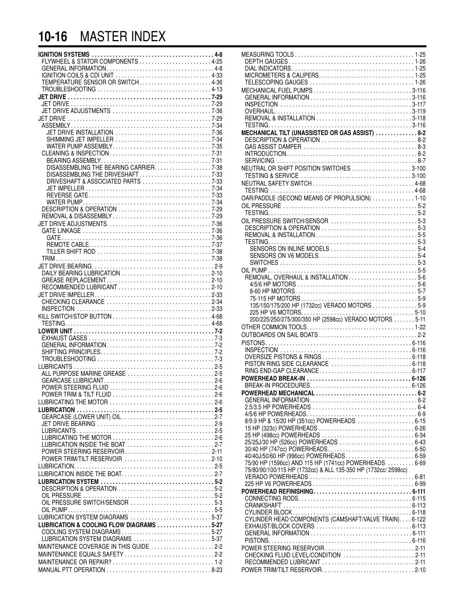### **10-16** MASTER INDEX

| TEMPERATURE SENSOR OR SWITCH4-36         |  |
|------------------------------------------|--|
|                                          |  |
|                                          |  |
|                                          |  |
|                                          |  |
|                                          |  |
|                                          |  |
|                                          |  |
| WATER PUMP ASSEMBLY7-35                  |  |
|                                          |  |
|                                          |  |
| DISASSEMBLING THE BEARING CARRIER. 7-38  |  |
| DISASSEMBLING THE DRIVESHAFT7-33         |  |
| DRIVESHAFT & ASSOCIATED PARTS 7-33       |  |
|                                          |  |
|                                          |  |
|                                          |  |
| REMOVAL & DISASSEMBLY7-29                |  |
|                                          |  |
|                                          |  |
|                                          |  |
|                                          |  |
|                                          |  |
|                                          |  |
| DAILY BEARING LUBRICATION 2-10           |  |
|                                          |  |
| RECOMMENDED LUBRICANT 2-10               |  |
|                                          |  |
|                                          |  |
|                                          |  |
|                                          |  |
|                                          |  |
|                                          |  |
|                                          |  |
|                                          |  |
|                                          |  |
|                                          |  |
|                                          |  |
|                                          |  |
|                                          |  |
|                                          |  |
|                                          |  |
|                                          |  |
|                                          |  |
|                                          |  |
|                                          |  |
|                                          |  |
| POWER TRIM/TILT RESERVOIR 2-10           |  |
|                                          |  |
|                                          |  |
|                                          |  |
|                                          |  |
| OIL PRESSURE SWITCH/SENSOR 5-3           |  |
|                                          |  |
| LUBRICATION SYSTEM DIAGRAMS 5-37         |  |
| LUBRICATION & COOLING FLOW DIAGRAMS 5-27 |  |
| COOLING SYSTEM DIAGRAMS5-27              |  |
| LUBRICATION SYSTEM DIAGRAMS 5-37         |  |
| MAINTENANCE COVERAGE IN THIS GUIDE 2-2   |  |
| MAINTENANCE EQUALS SAFETY 2-2            |  |
|                                          |  |
| MANUAL PTT OPERATION 8-23                |  |

| MICROMETERS & CALIPERS1-25                                                                         |  |
|----------------------------------------------------------------------------------------------------|--|
|                                                                                                    |  |
| MECHANICAL FUEL PUMPS3-116                                                                         |  |
|                                                                                                    |  |
|                                                                                                    |  |
|                                                                                                    |  |
|                                                                                                    |  |
| MECHANICAL TILT (UNASSISTED OR GAS ASSIST)  8-2                                                    |  |
|                                                                                                    |  |
|                                                                                                    |  |
|                                                                                                    |  |
| NEUTRAL OR SHIFT POSITION SWITCHES 3-100                                                           |  |
|                                                                                                    |  |
|                                                                                                    |  |
| OAR/PADDLE (SECOND MEANS OF PROPULSION) 1-10                                                       |  |
|                                                                                                    |  |
|                                                                                                    |  |
| OIL PRESSURE SWITCH/SENSOR 5-3                                                                     |  |
|                                                                                                    |  |
|                                                                                                    |  |
|                                                                                                    |  |
| SENSORS ON INLINE MODELS 5-4                                                                       |  |
|                                                                                                    |  |
|                                                                                                    |  |
|                                                                                                    |  |
|                                                                                                    |  |
|                                                                                                    |  |
| 135/150/175/200 HP (1732cc) VERADO MOTORS 5-9                                                      |  |
|                                                                                                    |  |
|                                                                                                    |  |
|                                                                                                    |  |
|                                                                                                    |  |
|                                                                                                    |  |
|                                                                                                    |  |
|                                                                                                    |  |
|                                                                                                    |  |
|                                                                                                    |  |
|                                                                                                    |  |
|                                                                                                    |  |
|                                                                                                    |  |
|                                                                                                    |  |
|                                                                                                    |  |
| 8/9.9 HP & 15/20 HP (351cc) POWERHEADS  6-15                                                       |  |
|                                                                                                    |  |
|                                                                                                    |  |
|                                                                                                    |  |
|                                                                                                    |  |
| 75/90 HP (1596cc) AND 115 HP (1741cc) POWERHEADS  6-69                                             |  |
| 75/80/90/100/115 HP (1732cc) & ALL 135-350 HP (1732cc/ 2598cc)                                     |  |
|                                                                                                    |  |
|                                                                                                    |  |
|                                                                                                    |  |
|                                                                                                    |  |
| CYLINDER HEAD COMPONENTS (CAMSHAFT/VALVE TRAIN) 6-122                                              |  |
|                                                                                                    |  |
|                                                                                                    |  |
|                                                                                                    |  |
|                                                                                                    |  |
| CHECKING FLUID LEVEL/CONDITION 2-11<br>RECOMMENDED LUBRICANT 2-11<br>POWER TRIM/TILT RESERVOIR2-10 |  |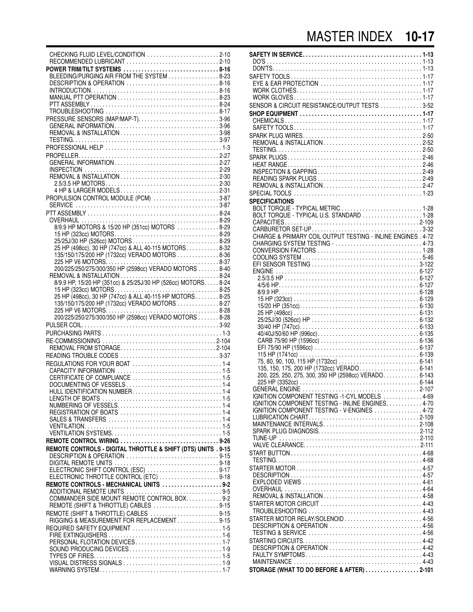| CHECKING FLUID LEVEL/CONDITION 2-10                                                                       |  |
|-----------------------------------------------------------------------------------------------------------|--|
| RECOMMENDED LUBRICANT 2-10                                                                                |  |
| POWER TRIM/TILT SYSTEMS 8-16                                                                              |  |
| BLEEDING/PURGING AIR FROM THE SYSTEM8-23<br>DESCRIPTION & OPERATION 8-16                                  |  |
|                                                                                                           |  |
|                                                                                                           |  |
|                                                                                                           |  |
|                                                                                                           |  |
|                                                                                                           |  |
|                                                                                                           |  |
|                                                                                                           |  |
|                                                                                                           |  |
|                                                                                                           |  |
|                                                                                                           |  |
|                                                                                                           |  |
|                                                                                                           |  |
|                                                                                                           |  |
| 4 HP & LARGER MODELS2-31                                                                                  |  |
| PROPULSION CONTROL MODULE (PCM) 3-87                                                                      |  |
|                                                                                                           |  |
|                                                                                                           |  |
|                                                                                                           |  |
| 8/9.9 HP MOTORS & 15/20 HP (351cc) MOTORS  8-29                                                           |  |
|                                                                                                           |  |
| 25 HP (498cc), 30 HP (747cc) & ALL 40-115 MOTORS8-32                                                      |  |
| 135/150/175/200 HP (1732cc) VERADO MOTORS 8-36                                                            |  |
|                                                                                                           |  |
| 200/225/250/275/300/350 HP (2598cc) VERADO MOTORS 8-40                                                    |  |
|                                                                                                           |  |
|                                                                                                           |  |
|                                                                                                           |  |
| 25 HP (498cc), 30 HP (747cc) & ALL 40-115 HP MOTORS8-25<br>135/150/175/200 HP (1732cc) VERADO MOTORS 8-27 |  |
|                                                                                                           |  |
|                                                                                                           |  |
|                                                                                                           |  |
|                                                                                                           |  |
|                                                                                                           |  |
|                                                                                                           |  |
| REMOVAL FROM STORAGE2-104                                                                                 |  |
| READING TROUBLE CODES 3-37                                                                                |  |
|                                                                                                           |  |
|                                                                                                           |  |
|                                                                                                           |  |
|                                                                                                           |  |
|                                                                                                           |  |
|                                                                                                           |  |
|                                                                                                           |  |
|                                                                                                           |  |
|                                                                                                           |  |
|                                                                                                           |  |
| REMOTE CONTROL WIRING 9-26                                                                                |  |
| REMOTE CONTROLS - DIGITAL THROTTLE & SHIFT (DTS) UNITS . 9-15                                             |  |
|                                                                                                           |  |
|                                                                                                           |  |
| ELECTRONIC SHIFT CONTROL (ESC) 9-17                                                                       |  |
| ELECTRONIC THROTTLE CONTROL (ETC) 9-18                                                                    |  |
| REMOTE CONTROLS - MECHANICAL UNITS 9-2                                                                    |  |
|                                                                                                           |  |
| COMMANDER SIDE MOUNT REMOTE CONTROL BOX9-2<br>REMOTE (SHIFT & THROTTLE) CABLES 9-15                       |  |
| REMOTE (SHIFT & THROTTLE) CABLES 9-15                                                                     |  |
| RIGGING & MEASUREMENT FOR REPLACEMENT9-15                                                                 |  |
|                                                                                                           |  |
|                                                                                                           |  |
| PERSONAL FLOTATION DEVICES1-7                                                                             |  |
|                                                                                                           |  |
|                                                                                                           |  |

| SENSOR & CIRCUIT RESISTANCE/OUTPUT TESTS 3-52                |  |
|--------------------------------------------------------------|--|
|                                                              |  |
|                                                              |  |
|                                                              |  |
|                                                              |  |
|                                                              |  |
|                                                              |  |
|                                                              |  |
|                                                              |  |
|                                                              |  |
|                                                              |  |
|                                                              |  |
|                                                              |  |
| <b>SPECIFICATIONS</b>                                        |  |
|                                                              |  |
| BOLT TORQUE - TYPICAL U.S. STANDARD  1-28                    |  |
|                                                              |  |
|                                                              |  |
| CHARGE & PRIMARY COIL OUTPUT TESTING - INLINE ENGINES . 4-72 |  |
| CHARGING SYSTEM TESTING - 4-73                               |  |
|                                                              |  |
|                                                              |  |
|                                                              |  |
|                                                              |  |
|                                                              |  |
|                                                              |  |
|                                                              |  |
|                                                              |  |
|                                                              |  |
|                                                              |  |
|                                                              |  |
|                                                              |  |
|                                                              |  |
|                                                              |  |
|                                                              |  |
|                                                              |  |
|                                                              |  |
| 200, 225, 250, 275, 300, 350 HP (2598cc) VERADO 6-143        |  |
|                                                              |  |
|                                                              |  |
| IGNITION COMPONENT TESTING -1-CYL MODELS  4-69               |  |
| IGNITION COMPONENT TESTING - INLINE ENGINES 4-70             |  |
| IGNITION COMPONENT TESTING - V-ENGINES 4-72                  |  |
|                                                              |  |
| MAINTENANCE INTERVALS2-108                                   |  |
|                                                              |  |
|                                                              |  |
|                                                              |  |
|                                                              |  |
|                                                              |  |
|                                                              |  |
|                                                              |  |
|                                                              |  |
|                                                              |  |
| STARTER MOTOR CIRCUIT 4-43                                   |  |
|                                                              |  |
| STARTER MOTOR RELAY/SOLENOID 4-56                            |  |
| DESCRIPTION & OPERATION 4-56                                 |  |
|                                                              |  |
|                                                              |  |
|                                                              |  |
|                                                              |  |
|                                                              |  |
| STORAGE (WHAT TO DO BEFORE & AFTER) 2-101                    |  |
|                                                              |  |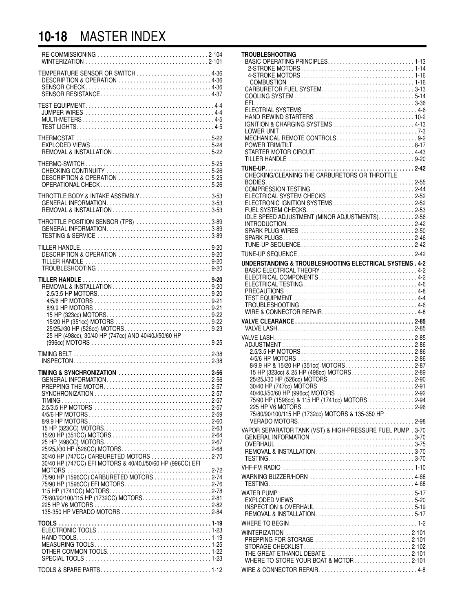### **10-18** MASTER INDEX

| TEMPERATURE SENSOR OR SWITCH4-36<br>DESCRIPTION & OPERATION 4-36                                                                                                                                                                                         |  |
|----------------------------------------------------------------------------------------------------------------------------------------------------------------------------------------------------------------------------------------------------------|--|
|                                                                                                                                                                                                                                                          |  |
|                                                                                                                                                                                                                                                          |  |
| DESCRIPTION & OPERATION 5-25                                                                                                                                                                                                                             |  |
| THROTTLE BODY & INTAKE ASSEMBLY3-53                                                                                                                                                                                                                      |  |
| THROTTLE POSITION SENSOR (TPS) 3-89                                                                                                                                                                                                                      |  |
| DESCRIPTION & OPERATION 9-20                                                                                                                                                                                                                             |  |
|                                                                                                                                                                                                                                                          |  |
| 25 HP (498cc), 30/40 HP (747cc) AND 40/40J/50/60 HP                                                                                                                                                                                                      |  |
|                                                                                                                                                                                                                                                          |  |
| TIMING & SYNCHRONIZATION 2-56<br>25/25J/30 HP (526CC) MOTORS2-68<br>30/40 HP (747CC) CARBURETED MOTORS 2-70<br>30/40 HP (747CC) EFI MOTORS & 40/40J/50/60 HP (996CC) EFI<br>75/90 HP (1596CC) CARBURETED MOTORS 2-74<br>75/90 HP (1596CC) EFI MOTORS2-76 |  |
| 135-350 HP VERADO MOTORS 2-84                                                                                                                                                                                                                            |  |

| <b>TROUBLESHOOTING</b>                                            |  |
|-------------------------------------------------------------------|--|
| BASIC OPERATING PRINCIPLES1-13                                    |  |
|                                                                   |  |
|                                                                   |  |
| CARBURETOR FUEL SYSTEM3-13                                        |  |
|                                                                   |  |
|                                                                   |  |
| IGNITION & CHARGING SYSTEMS  4-13                                 |  |
|                                                                   |  |
| MECHANICAL REMOTE CONTROLS9-2                                     |  |
|                                                                   |  |
|                                                                   |  |
|                                                                   |  |
| CHECKING/CLEANING THE CARBURETORS OR THROTTLE                     |  |
|                                                                   |  |
|                                                                   |  |
| ELECTRICAL SYSTEM CHECKS 2-52<br>ELECTRONIC IGNITION SYSTEMS 2-52 |  |
| FUEL SYSTEM CHECKS2-53                                            |  |
| IDLE SPEED ADJUSTMENT (MINOR ADJUSTMENTS)2-56                     |  |
|                                                                   |  |
|                                                                   |  |
|                                                                   |  |
|                                                                   |  |
| UNDERSTANDING & TROUBLESHOOTING ELECTRICAL SYSTEMS . 4-2          |  |
|                                                                   |  |
| ELECTRICAL COMPONENTS4-2                                          |  |
|                                                                   |  |
|                                                                   |  |
|                                                                   |  |
| WIRE & CONNECTOR REPAIR 4-8                                       |  |
|                                                                   |  |
|                                                                   |  |
|                                                                   |  |
|                                                                   |  |
|                                                                   |  |
|                                                                   |  |
| 25/25J/30 HP (526cc) MOTORS2-90                                   |  |
|                                                                   |  |
|                                                                   |  |
|                                                                   |  |
| 75/80/90/100/115 HP (1732cc) MOTORS & 135-350 HP                  |  |
|                                                                   |  |
| VAPOR SEPARATOR TANK (VST) & HIGH-PRESSURE FUEL PUMP . 3-70       |  |
|                                                                   |  |
|                                                                   |  |
|                                                                   |  |
|                                                                   |  |
| WARNING BUZZER/HORN 4-68                                          |  |
|                                                                   |  |
|                                                                   |  |
|                                                                   |  |
|                                                                   |  |
|                                                                   |  |
|                                                                   |  |
|                                                                   |  |
|                                                                   |  |
|                                                                   |  |
| THE GREAT ETHANOL DEBATE2-101                                     |  |
| WHERE TO STORE YOUR BOAT & MOTOR2-101                             |  |